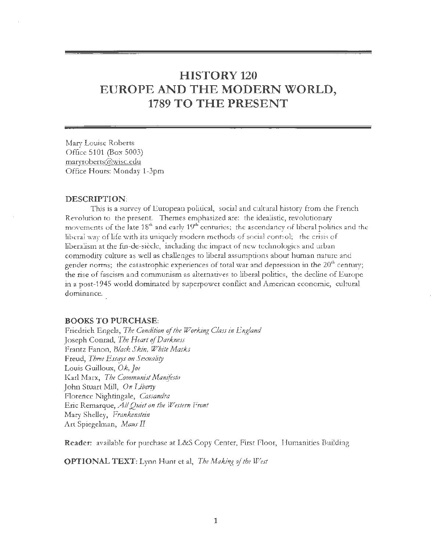# **HISTORY 120 EUROPE AND THE MODERN WORLD, 1789 TO THE PRESENT**

Mary Louise Roberts Office 5101 (Box 5003) maryroberts@wisc.edu Office Hours: Monday 1-3pm

#### **DESCRIPTION:**

This is a survey of European political, social and cultural history from the French Revolution to the present. Themes emphasized are: the idealistic, revolutionary movements of the late 18<sup>th</sup> and early 19<sup>th</sup> centuries; the ascendancy of liberal politics and the liberal way of life with its uniquely modern methods of social control; the crisis of liberalism at the fin-de-siecle, including the impact of new technologies and urban commodity culture as well as challenges to liberal assumptions about human nature and gender norms; the catastrophic experiences of total war and depression in the  $20<sup>th</sup>$  century; the rise of fascism and communism as alternatives to liberal politics, the decline of Europe in a post-1945 world dominated by superpower conflict and American economic, cultural dominance.

## **BOOKS TO PURCHASE:**

Friedrich Engels, *The Condition* of *the Working Class in England*  Joseph Conrad, *The Heart* of *Darkness*  Frantz Fanon, *Black Skin, White Masks* Freud, *Three Essqys on Sexuality*  Louis Guilloux, *Ok, Joe*  Karl Marx, *The Communist Manifesto*  John Stuart Mill, *On Liberty*  Florence Nightingale, *Cassandra*  Eric Remarque, *All Quiet on the Western Front* Mary Shelley, *Frankenstein*  Art Spiegelman, *Maus II* 

**Reader:** available for purchase at L&S Copy Center, First Floor, Humanities Building

**OPTION AL TEXT:** Lynn Hunt et al, *The Making* of *the West*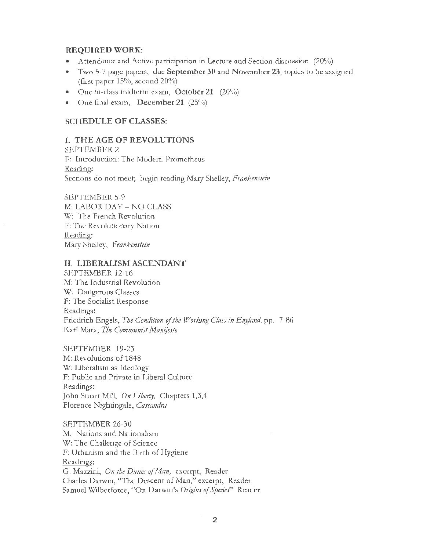## REQUIRED WORK:

- Attendance and Active participation in Lecture and Section discussion (20%)
- Two 5-7 page papers, due September 30 and November 23, topics to be assigned (fust paper 15%, second 20%)
- One in-class midterm exam, October 21 (20%)
- One final exam, December 21 (25%)

# SCHEDULE OF CLASSES:

#### I. THE AGE OF REVOLUTIONS

SEPTEMBER2 F: Introduction: The Modern Prometheus Reading: Sections do not meet; begin reading Mary Shelley, *Frankenstein* 

SEPTEMBER 5-9 M: LABOR DAY - NO CLASS W: The French Revolution F: The Revolutionary Nation Reading: Mary Shelley, Frankenstein

# II. LIBERALISM ASCENDANT

SEPTEMBER 12-16 M: The Industrial Revolution W: Dangerous Classes F: The Socialist Response Readings: Friedrich Engels, *The Condition* of *the Working Class in England,* pp. 7-86 Karl Marx, *The Communist Manifesto* 

SEPTEMBER 19-23 M: Revolutions of 1848 W: Liberalism as Ideology F: Public and Private in Liberal Culture Readings: John Stuart Mill, *On Iiberry,* Chapters 1,3,4 Florence Nightingale, *Cassandra* 

SEPTEMBER 26-30 M: Nations and Nationalism W: The Challenge of Science F: Urbanism and the Birth of Hygiene Readings: G. Mazzini, *On the Duties* of *Man,* excerpt, Reader Charles Darwin, "The Descent of Man," excerpt, Reader Samuel Wilberforce, "On Darwin's *Origins* of *Specie!'* Reader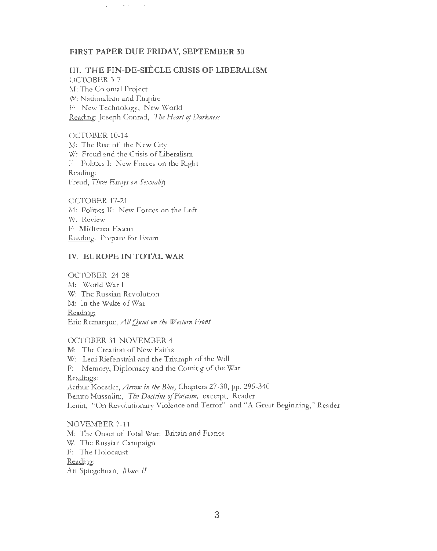#### FIRST PAPER DUE FRIDAY, SEPTEMBER30

## III. THE FIN-DE-SIÈCLE CRISIS OF LIBERALISM

OCTOBER 3-7 M: The Colonial Project W: Nationalism and Empire F: New Technology, New World Reading: Joseph Conrad, *The Heart* of *Darkness* 

 $\sim$   $-$ 

OCTOBER 10-14 M: The Rise of the New City W: Freud and the Crisis of Liberalism F: Politics I: New Forces on the Right Reading: Freud, Three Essays on Sexuality

OCTOBER 17-21 M: Politics II: New Forces on the Left W: Review F: Midterm Exam Readmg: Prepare for Exam

## IV. EUROPE IN TOTAL WAR

OCTOBER 24-28 M: World War I W: The Russian Revolution M: In the Wake of War Reading: Eric Remarque, *AJJ Quiet on the Western Front* 

## OCTOBER 31-NOVEMBER 4

M: The Creation of New Faiths W: Leni Riefenstahl and the Triumph of the Will F: Memory, Diplomacy and the Coming of the War Readings: Arthur Koestler, *Arrow in the Blue,* Chapters 27-30, pp. 295-340 Benito Mussolini, *The Doctrine* of *Fascism}* excerpt, Reader Lenin, "On Revolutionary Violence and Terror" and "A Great Beginning," Reader

NOVEMBER 7-11 M: The Onset of Total War: Britain and France W: The Russian Campaign F: The Holocaust Reading: Art Spiegelman, *Maus II*